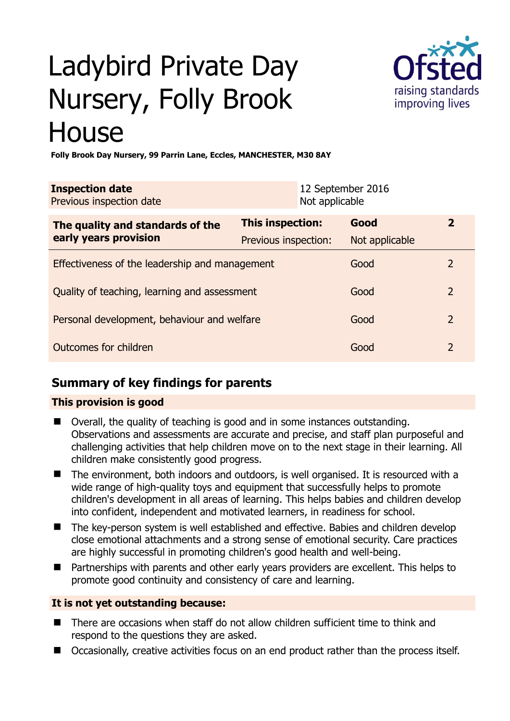# Ladybird Private Day Nursery, Folly Brook **House**



**Folly Brook Day Nursery, 99 Parrin Lane, Eccles, MANCHESTER, M30 8AY** 

| <b>Inspection date</b><br>Previous inspection date |                         | Not applicable | 12 September 2016 |                |
|----------------------------------------------------|-------------------------|----------------|-------------------|----------------|
| The quality and standards of the                   | <b>This inspection:</b> |                | Good              | 2              |
| early years provision                              | Previous inspection:    |                | Not applicable    |                |
| Effectiveness of the leadership and management     |                         |                | Good              | $\mathcal{L}$  |
| Quality of teaching, learning and assessment       |                         |                | Good              | $\overline{2}$ |
| Personal development, behaviour and welfare        |                         |                | Good              | $\overline{2}$ |
| Outcomes for children                              |                         |                | Good              | $\overline{2}$ |

## **Summary of key findings for parents**

### **This provision is good**

- Overall, the quality of teaching is good and in some instances outstanding. Observations and assessments are accurate and precise, and staff plan purposeful and challenging activities that help children move on to the next stage in their learning. All children make consistently good progress.
- The environment, both indoors and outdoors, is well organised. It is resourced with a wide range of high-quality toys and equipment that successfully helps to promote children's development in all areas of learning. This helps babies and children develop into confident, independent and motivated learners, in readiness for school.
- The key-person system is well established and effective. Babies and children develop close emotional attachments and a strong sense of emotional security. Care practices are highly successful in promoting children's good health and well-being.
- Partnerships with parents and other early years providers are excellent. This helps to promote good continuity and consistency of care and learning.

#### **It is not yet outstanding because:**

- There are occasions when staff do not allow children sufficient time to think and respond to the questions they are asked.
- Occasionally, creative activities focus on an end product rather than the process itself.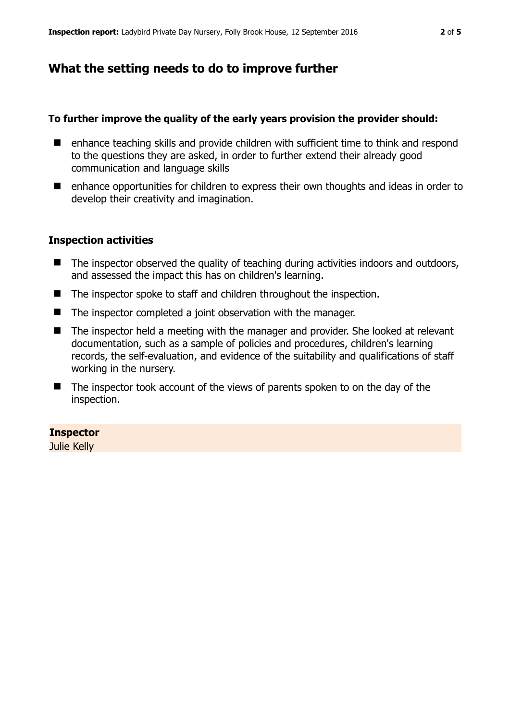## **What the setting needs to do to improve further**

#### **To further improve the quality of the early years provision the provider should:**

- enhance teaching skills and provide children with sufficient time to think and respond to the questions they are asked, in order to further extend their already good communication and language skills
- enhance opportunities for children to express their own thoughts and ideas in order to develop their creativity and imagination.

#### **Inspection activities**

- The inspector observed the quality of teaching during activities indoors and outdoors, and assessed the impact this has on children's learning.
- The inspector spoke to staff and children throughout the inspection.
- The inspector completed a joint observation with the manager.
- The inspector held a meeting with the manager and provider. She looked at relevant documentation, such as a sample of policies and procedures, children's learning records, the self-evaluation, and evidence of the suitability and qualifications of staff working in the nursery.
- $\blacksquare$  The inspector took account of the views of parents spoken to on the day of the inspection.

#### **Inspector**

Julie Kelly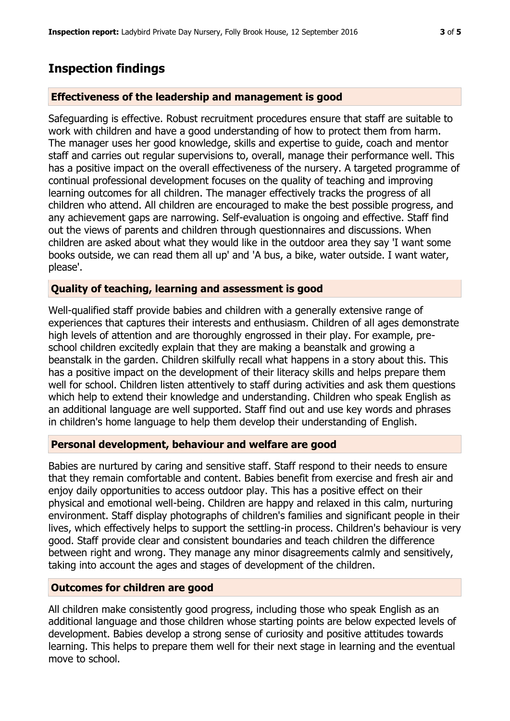## **Inspection findings**

#### **Effectiveness of the leadership and management is good**

Safeguarding is effective. Robust recruitment procedures ensure that staff are suitable to work with children and have a good understanding of how to protect them from harm. The manager uses her good knowledge, skills and expertise to guide, coach and mentor staff and carries out regular supervisions to, overall, manage their performance well. This has a positive impact on the overall effectiveness of the nursery. A targeted programme of continual professional development focuses on the quality of teaching and improving learning outcomes for all children. The manager effectively tracks the progress of all children who attend. All children are encouraged to make the best possible progress, and any achievement gaps are narrowing. Self-evaluation is ongoing and effective. Staff find out the views of parents and children through questionnaires and discussions. When children are asked about what they would like in the outdoor area they say 'I want some books outside, we can read them all up' and 'A bus, a bike, water outside. I want water, please'.

#### **Quality of teaching, learning and assessment is good**

Well-qualified staff provide babies and children with a generally extensive range of experiences that captures their interests and enthusiasm. Children of all ages demonstrate high levels of attention and are thoroughly engrossed in their play. For example, preschool children excitedly explain that they are making a beanstalk and growing a beanstalk in the garden. Children skilfully recall what happens in a story about this. This has a positive impact on the development of their literacy skills and helps prepare them well for school. Children listen attentively to staff during activities and ask them questions which help to extend their knowledge and understanding. Children who speak English as an additional language are well supported. Staff find out and use key words and phrases in children's home language to help them develop their understanding of English.

#### **Personal development, behaviour and welfare are good**

Babies are nurtured by caring and sensitive staff. Staff respond to their needs to ensure that they remain comfortable and content. Babies benefit from exercise and fresh air and enjoy daily opportunities to access outdoor play. This has a positive effect on their physical and emotional well-being. Children are happy and relaxed in this calm, nurturing environment. Staff display photographs of children's families and significant people in their lives, which effectively helps to support the settling-in process. Children's behaviour is very good. Staff provide clear and consistent boundaries and teach children the difference between right and wrong. They manage any minor disagreements calmly and sensitively, taking into account the ages and stages of development of the children.

#### **Outcomes for children are good**

All children make consistently good progress, including those who speak English as an additional language and those children whose starting points are below expected levels of development. Babies develop a strong sense of curiosity and positive attitudes towards learning. This helps to prepare them well for their next stage in learning and the eventual move to school.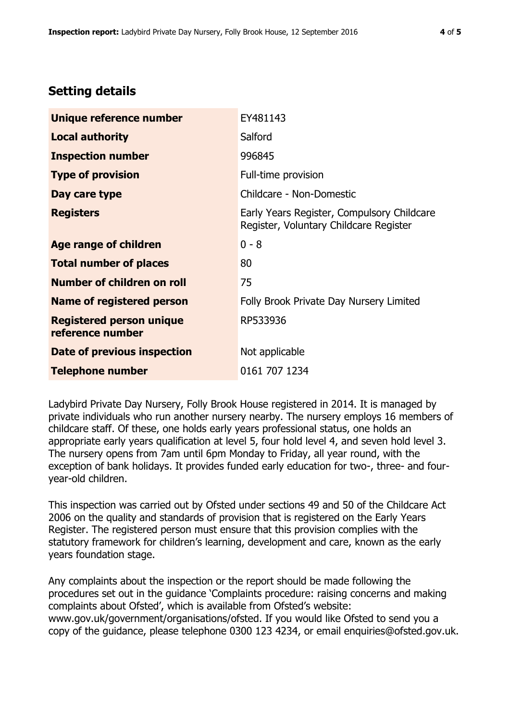## **Setting details**

| Unique reference number                             | EY481143                                                                             |  |
|-----------------------------------------------------|--------------------------------------------------------------------------------------|--|
| <b>Local authority</b>                              | Salford                                                                              |  |
| <b>Inspection number</b>                            | 996845                                                                               |  |
| <b>Type of provision</b>                            | Full-time provision                                                                  |  |
| Day care type                                       | Childcare - Non-Domestic                                                             |  |
| <b>Registers</b>                                    | Early Years Register, Compulsory Childcare<br>Register, Voluntary Childcare Register |  |
| Age range of children                               | $0 - 8$                                                                              |  |
| <b>Total number of places</b>                       | 80                                                                                   |  |
| Number of children on roll                          | 75                                                                                   |  |
| <b>Name of registered person</b>                    | Folly Brook Private Day Nursery Limited                                              |  |
| <b>Registered person unique</b><br>reference number | RP533936                                                                             |  |
| Date of previous inspection                         | Not applicable                                                                       |  |
| <b>Telephone number</b>                             | 0161 707 1234                                                                        |  |

Ladybird Private Day Nursery, Folly Brook House registered in 2014. It is managed by private individuals who run another nursery nearby. The nursery employs 16 members of childcare staff. Of these, one holds early years professional status, one holds an appropriate early years qualification at level 5, four hold level 4, and seven hold level 3. The nursery opens from 7am until 6pm Monday to Friday, all year round, with the exception of bank holidays. It provides funded early education for two-, three- and fouryear-old children.

This inspection was carried out by Ofsted under sections 49 and 50 of the Childcare Act 2006 on the quality and standards of provision that is registered on the Early Years Register. The registered person must ensure that this provision complies with the statutory framework for children's learning, development and care, known as the early years foundation stage.

Any complaints about the inspection or the report should be made following the procedures set out in the guidance 'Complaints procedure: raising concerns and making complaints about Ofsted', which is available from Ofsted's website: www.gov.uk/government/organisations/ofsted. If you would like Ofsted to send you a copy of the guidance, please telephone 0300 123 4234, or email enquiries@ofsted.gov.uk.